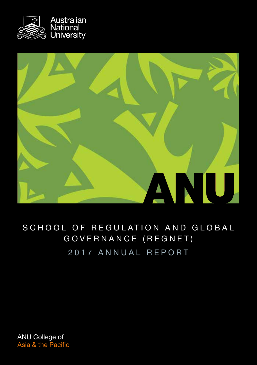



## SCHOOL OF REGULATION AND GLOBAL GOVERNANCE (REGNET) 2017 ANNUAL REPORT

ANU College of Asia & the Pacific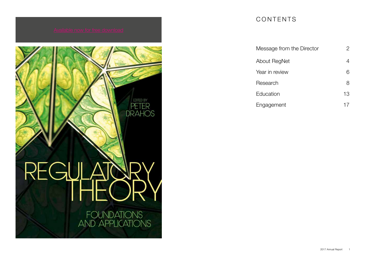

### CONTENTS

| Message from the Director |    |
|---------------------------|----|
| About RegNet              |    |
| Year in review            | 6  |
| Research                  | 8  |
| Education                 | 13 |
| Engagement                |    |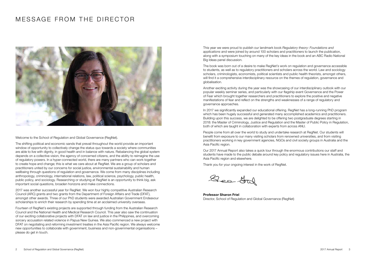### MESSAGE FROM THE DIRECTOR



Welcome to the School of Regulation and Global Governance (RegNet).

The shifting political and economic sands that prevail throughout the world provide an important window of opportunity to collectively change the status quo towards a society where communities are able to live with dignity, in good health and in balance with nature. Rebalancing the global system depends on a collective vision, the agency of concerned citizens, and the ability to reimagine the use of regulatory powers. In a hyper-connected world, there are many partners who can work together to create hope and change; this is what we care about at RegNet. We are a group of scholars and practitioners united by our concerns for social justice, environmental sustainability and human wellbeing through questions of regulation and governance. We come from many disciplines including anthropology, criminology, international relations, law, political science, psychology, public health, public policy, and sociology. Researching or studying at RegNet is an opportunity to think big, ask important social questions, broaden horizons and make connections.

2017 was another successful year for RegNet. We won four highly competitive Australian Research Council (ARC) grants and two grants from the Department of Foreign Affairs and Trade (DFAT), amongst other awards. Three of our PhD students were awarded Australian Government Endeavour scholarships to enrich their research by spending time at an acclaimed university overseas.

Fourteen of RegNet's existing projects are supported through funding from the Australian Research Council and the National Health and Medical Research Council. This year also saw the continuation of our exciting collaborative projects with DFAT on law and justice in the Philippines, and overcoming sorcery accusation related violence in Papua New Guinea. We also commenced a new project with DFAT on negotiating and reforming investment treaties in the Asia Pacific region. We always welcome new opportunities to collaborate with government, business and non-governmental organisations – please do get in touch.

This year we were proud to publish our landmark book *Regulatory theory: Foundations and applications* and were joined by around 100 scholars and practitioners to launch the publication, along with a symposium touching on many of the key ideas in the book and an ABC Radio National Big Ideas panel discussion.

The book was born out of a desire to make RegNet's work on regulation and governance accessible to students, as well as to regulatory practitioners and scholars across the world. Law and sociology scholars, criminologists, economists, political scientists and public health theorists, amongst others, will find it a comprehensive interdisciplinary resource on the themes of regulation, governance and globalisation.

Another exciting activity during the year was the showcasing of our interdisciplinary outlook with our popular weekly seminar series, and particularly with our flagship event Governance and the Power of Fear which brought together researchers and practitioners to explore the positive and negative manifestations of fear and reflect on the strengths and weaknesses of a range of regulatory and governance approaches.

In 2017 we significantly expanded our educational offering. RegNet has a long-running PhD program which has been hugely successful and generated many accomplished academics and practitioners. Building upon this success, we are delighted to be offering two postgraduate degrees starting in 2018: the Master of Criminology, Justice and Regulation and the Master of Public Policy in Regulation, both of which are taught in collaboration with experts from across ANU.

People come from all over the world to study and undertake research at RegNet. Our students will benefit from exposure to our many visiting scholars from renowned universities, and from visiting practitioners working in key government agencies, NGOs and civil society groups in Australia and the Asia Pacific region.

Our 2017 Annual Report also takes a quick tour through the enormous contributions our staff and students have made to the public debate around key policy and regulatory issues here in Australia, the Asia Pacific region and elsewhere.

Thank you for your ongoing interest in the work of RegNet.

Geo Gal

[Professor Sharon Friel](http://regnet.anu.edu.au/our-people/academic/sharon-friel) [Director, School of Regulation and Global Governance \(RegNet\)](http://regnet.anu.edu.au/our-people/academic/sharon-friel)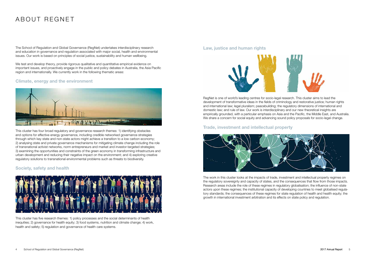### ABOUT REGNET

The School of Regulation and Global Governance (RegNet) undertakes interdisciplinary research and education in governance and regulation associated with major social, health and environmental issues. Our work is based on principles of social justice, sustainability and human wellbeing.

We test and develop theory, provide rigorous qualitative and quantitative empirical evidence on important issues, and proactively engage in the public and policy debates in Australia, the Asia Pacific region and internationally. We currently work in the following thematic areas:

### [Climate, energy and the environment](http://regnet.anu.edu.au/research/clusters/289/climate-energy-environment)



[This cluster has four broad regulatory and governance research themes: 1\) identifying obstacles](http://regnet.anu.edu.au/research/clusters/289/climate-energy-environment)  [and options for effective energy governance, including credible networked governance strategies](http://regnet.anu.edu.au/research/clusters/289/climate-energy-environment)  [through which key state and non-state actors might achieve a transition to a low carbon economy;](http://regnet.anu.edu.au/research/clusters/289/climate-energy-environment)  [2\) analysing state and private governance mechanisms for mitigating climate change including the role](http://regnet.anu.edu.au/research/clusters/289/climate-energy-environment)  [of transnational activist networks, norm entrepreneurs and market and investor-targeted strategies;](http://regnet.anu.edu.au/research/clusters/289/climate-energy-environment)  [3\) examining the opportunities and constraints of the green economy in transforming infrastructure and](http://regnet.anu.edu.au/research/clusters/289/climate-energy-environment)  [urban development and reducing their negative impact on the environment; and 4\) exploring creative](http://regnet.anu.edu.au/research/clusters/289/climate-energy-environment)  [regulatory solutions to transnational environmental problems such as threats to biodiversity.](http://regnet.anu.edu.au/research/clusters/289/climate-energy-environment)

### [Society, safety and health](http://regnet.anu.edu.au/research/clusters/5794/society-safety-and-health)



[This cluster has five research themes: 1\) policy processes and the social determinants of health](http://regnet.anu.edu.au/research/clusters/5794/society-safety-and-health)  [inequities; 2\) governance for health equity; 3\) food systems, nutrition and climate change; 4\) work,](http://regnet.anu.edu.au/research/clusters/5794/society-safety-and-health)  health and safety: 5) regulation and governance of health care systems.

#### [Law, justice and human rights](http://regnet.anu.edu.au/research/clusters/292/law-justice-human-rights)



[RegNet is one of world's leading centres for socio-legal research. This cluster aims to lead the](http://regnet.anu.edu.au/research/clusters/292/law-justice-human-rights)  [development of transformative ideas in the fields of criminology and restorative justice; human rights](http://regnet.anu.edu.au/research/clusters/292/law-justice-human-rights)  [and international law; legal pluralism; peacebuilding; the regulatory dimensions of international and](http://regnet.anu.edu.au/research/clusters/292/law-justice-human-rights)  [domestic law; and rule of law. Our work is interdisciplinary and our new theoretical insights are](http://regnet.anu.edu.au/research/clusters/292/law-justice-human-rights)  [empirically grounded, with a particular emphasis on Asia and the Pacific, the Middle East, and Australia.](http://regnet.anu.edu.au/research/clusters/292/law-justice-human-rights) [We share a concern for social equity and advancing sound policy proposals for socio-legal change.](http://regnet.anu.edu.au/research/clusters/292/law-justice-human-rights) 

### [Trade, investment and intellectual property](http://regnet.anu.edu.au/research/clusters/291/trade-investment-intellectual-property)



[The work in this cluster looks at the impacts of trade, investment and intellectual property regimes on](http://regnet.anu.edu.au/research/clusters/291/trade-investment-intellectual-property)  [the regulatory sovereignty and capacity of states, and the consequences that flow from those impacts.](http://regnet.anu.edu.au/research/clusters/291/trade-investment-intellectual-property)  [Research areas include the role of these regimes in regulatory globalisation; the influence of non-state](http://regnet.anu.edu.au/research/clusters/291/trade-investment-intellectual-property)  [actors upon these regimes; the institutional capacity of developing countries to meet globalised regula](http://regnet.anu.edu.au/research/clusters/291/trade-investment-intellectual-property)[tory standards; the consequences of these regimes for state regulation of health and health equity; the](http://regnet.anu.edu.au/research/clusters/291/trade-investment-intellectual-property)  [growth in international investment arbitration and its effects on state policy and regulation.](http://regnet.anu.edu.au/research/clusters/291/trade-investment-intellectual-property)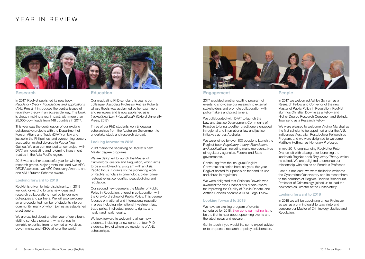### YEAR IN REVIEW



#### Research

[In 2017, RegNet published its new book](https://press.anu.edu.au/publications/regulatory-theory/download)  *[Regulatory theory: Foundations and applications](https://press.anu.edu.au/publications/regulatory-theory/download)*  [\(ANU Press\). It introduces the central issues of](https://press.anu.edu.au/publications/regulatory-theory/download)  [regulatory theory in an accessible way. The book](https://press.anu.edu.au/publications/regulatory-theory/download)  [is already making a real impact, with more than](https://press.anu.edu.au/publications/regulatory-theory/download)  [25,000 downloads from 148 countries in 2017.](https://press.anu.edu.au/publications/regulatory-theory/download) 

This year saw the continuation of our exciting collaborative projects with the Department of Foreign Affairs and Trade (DFAT) o[n law and](http://regnet.anu.edu.au/research/research-projects/details/6637/philippines-project)  [justice in the Philippines,](http://regnet.anu.edu.au/research/research-projects/details/6637/philippines-project) and overcoming sorcery [accusation related violence in Papua New](http://regnet.anu.edu.au/research/research-projects/details/6589/improving-impact-state-and-non-state-interventions)  [Guinea. W](http://regnet.anu.edu.au/research/research-projects/details/6589/improving-impact-state-and-non-state-interventions)e also commenced a new project with DFAT on negotiating and reforming investment treaties in the Asia Pacific region.

2017 was another successful year for winning research grants. Major grants included two ARC DECRA awards, two ARC Discovery Awards, and one ANU Futures Scheme Award.

#### Looking forward to 2018

RegNet is driven by interdisciplinarity. In 2018 we look forward to forging new ideas and research collaborations inspired by our new colleagues and partners. We will also welcome an unprecedented number of students into our community, many of whom join us as established practitioners.

We are excited about another year of our vibrant visiting scholars program, which brings in enviable expertise from renowned universities, governments and NGOs all over the world.

#### **Education**

[Our graduating PhD scholar this year is our](http://regnet.anu.edu.au/news-events/news/6891/international-law-international)  [colleague, Associate Professor Anthea Roberts,](http://regnet.anu.edu.au/news-events/news/6891/international-law-international)  [whose thesis was acclaimed by her examiners](http://regnet.anu.edu.au/news-events/news/6891/international-law-international)  [and reviewers and is now published as](http://regnet.anu.edu.au/news-events/news/6891/international-law-international) *Is [International Law International?](http://regnet.anu.edu.au/news-events/news/6891/international-law-international)* (Oxford University [Press, 2017\).](http://regnet.anu.edu.au/news-events/news/6891/international-law-international) 

[Three of our PhD students won Endeavour](http://regnet.anu.edu.au/news-events/news/7004/regnet-phd-students-are-high-fliers-scholarship-awards)  [scholarships from the Australian Government to](http://regnet.anu.edu.au/news-events/news/7004/regnet-phd-students-are-high-fliers-scholarship-awards)  [undertake study and research abroad.](http://regnet.anu.edu.au/news-events/news/7004/regnet-phd-students-are-high-fliers-scholarship-awards)

#### Looking forward to 2018

2018 marks the beginning of RegNet's new Master degree programs.

[We are delighted to launch the Master of](http://regnet.anu.edu.au/study/master-criminology-justice-regulation)  [Criminology, Justice and Regulation, which aims](http://regnet.anu.edu.au/study/master-criminology-justice-regulation)  [to be a world-leading program with an Asia](http://regnet.anu.edu.au/study/master-criminology-justice-regulation)  [Pacific focus. It draws on the pioneering work](http://regnet.anu.edu.au/study/master-criminology-justice-regulation)  [of RegNet scholars in criminology, cyber crime,](http://regnet.anu.edu.au/study/master-criminology-justice-regulation)  [restorative justice, conflict, peacebuilding and](http://regnet.anu.edu.au/study/master-criminology-justice-regulation)  [regulation.](http://regnet.anu.edu.au/study/master-criminology-justice-regulation)

[Our second new degree is the Master of Public](http://regnet.anu.edu.au/study/master-public-policy-regulation)  [Policy in Regulation, offered in collaboration with](http://regnet.anu.edu.au/study/master-public-policy-regulation)  [the Crawford School of Public Policy. This degree](http://regnet.anu.edu.au/study/master-public-policy-regulation)  [focuses on national and international regulation](http://regnet.anu.edu.au/study/master-public-policy-regulation)  [in areas including international investment law,](http://regnet.anu.edu.au/study/master-public-policy-regulation)  [trade policy, intellectual property rights, and](http://regnet.anu.edu.au/study/master-public-policy-regulation)  [health and health equity.](http://regnet.anu.edu.au/study/master-public-policy-regulation)

We look forward to welcoming all our new students, including a new cohort of four PhD students, two of whom are recipients of ANU scholarships.



#### Engagement

2017 provided another exciting program of events to showcase our research to external stakeholders and promote collaboration with policymakers and practitioners.

We collaborated with DFAT to launch the [Law and Justice Development Community of](http://regnet.anu.edu.au/research/research-projects/details/6757/law-and-justice-development-community-practice)  [Practice to bring together practitioners engaged](http://regnet.anu.edu.au/research/research-projects/details/6757/law-and-justice-development-community-practice)  [in regional and international law and justice](http://regnet.anu.edu.au/research/research-projects/details/6757/law-and-justice-development-community-practice)  [initiatives across Australia.](http://regnet.anu.edu.au/research/research-projects/details/6757/law-and-justice-development-community-practice) 

[We were joined by over 100 people to launch the](http://regnet.anu.edu.au/news-events/events/6774/21st-century-regulation-and-governance-challenges)  RegNet book *[Regulatory theory: Foundations](http://regnet.anu.edu.au/news-events/events/6774/21st-century-regulation-and-governance-challenges)  and applications,* [including many representatives](http://regnet.anu.edu.au/news-events/events/6774/21st-century-regulation-and-governance-challenges)  [of regulatory agencies, Federal and State](http://regnet.anu.edu.au/news-events/events/6774/21st-century-regulation-and-governance-challenges)  [governments.](http://regnet.anu.edu.au/news-events/events/6774/21st-century-regulation-and-governance-challenges) 

[Continuing from the inaugural RegNet](http://regnet.anu.edu.au/news-events/events/6942/governance-and-power-fear)  [Conversations series from last year, this year](http://regnet.anu.edu.au/news-events/events/6942/governance-and-power-fear)  [RegNet hosted four panels on fear and its use](http://regnet.anu.edu.au/news-events/events/6942/governance-and-power-fear)  [and abuse in regulation.](http://regnet.anu.edu.au/news-events/events/6942/governance-and-power-fear)

We were delighted that Christian Downie was awarded the Vice Chancellor's Media Award for Improving the Quality of Public Debate, and Anthea Roberts became a DFAT Legal Fellow.

#### Looking forward to 2018

We have an exciting program of events scheduled for 2018. [Sign up to our mailing list t](http://regnet.anu.edu.au/about-us/join-our-mailing-list)o be the first to hear about upcoming events and the latest news and research.

Get in touch if you would like some expert advice or to propose a research or policy collaboration.

In 2017 we welcomed [Ashley Schram](http://regnet.anu.edu.au/our-people/academic/ashley-schram) as a Research Fellow and Convenor of the new Master of Public Policy in Regulation, RegNet alumnus [Christian Downie](http://regnet.anu.edu.au/our-people/academic/christian-downie) as a Fellow and Higher Degree Research Convenor, and [Belinda](http://regnet.anu.edu.au/our-people/academic/belinda-townsend)  [Townsend](http://regnet.anu.edu.au/our-people/academic/belinda-townsend) as a Research Fellow.

We were pleased to welcome [Virginia Marshall a](http://regnet.anu.edu.au/our-people/academic/virginia-marshall)s the first scholar to be appointed under the ANU Indigenous Australian Postdoctoral Fellowships Program, and we were delighted to welcome [Matthew Hoffman as Honorary Professor.](http://regnet.anu.edu.au/our-people/academic/matthew-hoffmann)

In mid-2017, long-standing RegNetter [Peter](http://regnet.anu.edu.au/our-people/academic/peter-drahos)  [Drahos](http://regnet.anu.edu.au/our-people/academic/peter-drahos) left with a bang after launching the landmark RegNet book *Regulatory Theory* which he edited. We are delighted to continue our relationship with him as an Emeritus Professor.

Last but not least, we were thrilled to welcome the [Cybercrime Observatory and its researchers](http://regnet.anu.edu.au/research/centres/cybercrime-observatory)  to the corridors of RegNet. [Roderic Broadhurst,](http://regnet.anu.edu.au/our-people/academic/roderic-broadhurst)  [Professor of Criminology, joined us to lead the](http://regnet.anu.edu.au/our-people/academic/roderic-broadhurst)  [new team as Director of the Observatory.](http://regnet.anu.edu.au/our-people/academic/roderic-broadhurst) 

#### Looking forward to 2018

In 2018 we will be appointing a new Professor as well as a criminologist to teach into and convene our Master of Criminology, Justice and Regulation.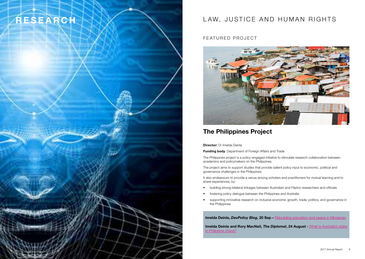## RESEARCH **LAW, JUSTICE AND HUMAN RIGHTS**

FEATURED PROJECT



### [The Philippines Project](http://regnet.anu.edu.au/research/research-projects/details/6637/philippines-project)

**Director:** [Dr Imelda Deinla](http://regnet.anu.edu.au/research/research-projects/details/6637/philippines-project)

Funding body[: Department of Foreign Affairs and Trade](http://regnet.anu.edu.au/research/research-projects/details/6637/philippines-project)

[The Philippines project is a policy-engaged initiative to stimulate research collaboration between](http://regnet.anu.edu.au/research/research-projects/details/6637/philippines-project)  [academics and policymakers on the Philippines.](http://regnet.anu.edu.au/research/research-projects/details/6637/philippines-project) 

[The project aims to support studies that provide salient policy input to economic, political and](http://regnet.anu.edu.au/research/research-projects/details/6637/philippines-project)  [governance challenges in the Philippines.](http://regnet.anu.edu.au/research/research-projects/details/6637/philippines-project) 

[It also endeavours to provide a venue among scholars and practitioners for mutual learning and to](http://regnet.anu.edu.au/research/research-projects/details/6637/philippines-project)  [share experiences, by:](http://regnet.anu.edu.au/research/research-projects/details/6637/philippines-project)

- [building strong bilateral linkages between Australian and Filipino researchers and officials](http://regnet.anu.edu.au/research/research-projects/details/6637/philippines-project)
- [fostering policy dialogue between the Philippines and Australia](http://regnet.anu.edu.au/research/research-projects/details/6637/philippines-project)
- [supporting innovative research on inclusive economic growth, trade, politics, and governance in](http://regnet.anu.edu.au/research/research-projects/details/6637/philippines-project)  [the Philippines](http://regnet.anu.edu.au/research/research-projects/details/6637/philippines-project)

Imelda Deinla, *DevPolicy Blog*, 20 Sep – [Rebuilding education and peace in Mindanao](http://www.devpolicy.org/rebuilding-education-peace-mindanao-20170920/)

Imelda Deinla and Rory MacNeil, *The Diplomat*, 24 August - [What is Australia's stake](https://thediplomat.com/2017/08/what-is-australias-stake-in-philippine-chaos/)  [in Philippine chaos?](https://thediplomat.com/2017/08/what-is-australias-stake-in-philippine-chaos/)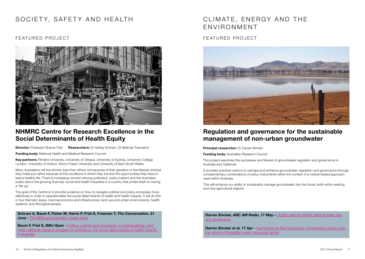### SOCIETY, SAFETY AND HEALTH

### FEATURED PROJECT



### [NHMRC Centre for Research Excellence in the](http://regnet.anu.edu.au/research/centres/nhmrc-centre-research-excellence-social-determinants-health-equity)  [Social Determinants of Health Equity](http://regnet.anu.edu.au/research/centres/nhmrc-centre-research-excellence-social-determinants-health-equity)

**Director:** Professor Sharon Friel Researchers: Dr [Ashley Schram, Dr Belinda Townsend](http://regnet.anu.edu.au/research/centres/nhmrc-centre-research-excellence-social-determinants-health-equity)

**Funding body:** National Health and Medical Research Council

Key partners: [Flinders University, University of Ottawa, University of Sydney, University College](http://regnet.anu.edu.au/research/centres/nhmrc-centre-research-excellence-social-determinants-health-equity)  [London, University of Oxford, Simon Fraser University and University of New South Wales.](http://regnet.anu.edu.au/research/centres/nhmrc-centre-research-excellence-social-determinants-health-equity)

[Many Australians will live shorter lives than others not because of their genetics or the lifestyle choices](http://regnet.anu.edu.au/research/centres/nhmrc-centre-research-excellence-social-determinants-health-equity)  [they make but rather because of the conditions in which they live and the opportunities they have to](http://regnet.anu.edu.au/research/centres/nhmrc-centre-research-excellence-social-determinants-health-equity)  [lead a healthy life. There is increasing concern among politicians, policy makers and the Australian](http://regnet.anu.edu.au/research/centres/nhmrc-centre-research-excellence-social-determinants-health-equity)  [public about the growing financial, social and health inequities in a country that prides itself on having](http://regnet.anu.edu.au/research/centres/nhmrc-centre-research-excellence-social-determinants-health-equity)  [a 'fair go'.](http://regnet.anu.edu.au/research/centres/nhmrc-centre-research-excellence-social-determinants-health-equity)

[The goal of the Centre is to provide evidence on how to navigate political and policy processes more](http://regnet.anu.edu.au/research/centres/nhmrc-centre-research-excellence-social-determinants-health-equity)  [effectively in order to operationalise the social determinants of health and health inequity. It will do this](http://regnet.anu.edu.au/research/centres/nhmrc-centre-research-excellence-social-determinants-health-equity)  [in four thematic areas: macroeconomics and infrastructure, land use and urban environments, health](http://regnet.anu.edu.au/research/centres/nhmrc-centre-research-excellence-social-determinants-health-equity)  [systems, and Aboriginal people.](http://regnet.anu.edu.au/research/centres/nhmrc-centre-research-excellence-social-determinants-health-equity)

#### Schram A, Baum F, Fisher M, Harris P, Friel S, Freeman T, *The Conversation*, 21 **June** - [The NBN and Australia's digital divide](https://theconversation.com/three-charts-on-the-nbn-and-australias-digital-divide-78911)

**Baum F, Friel S,** *BMJ Open* - Politics, policies and processes: a multidisciplinary and [multi-methods research program on policies on the social determinants of health inequity](http://bmjopen.bmj.com/content/7/12/e017772.citation-tools)  [in Australia](http://bmjopen.bmj.com/content/7/12/e017772.citation-tools)

### CLIMATE, ENERGY AND THE ENVIRONMENT

### FEATURED PROJECT



### Regulation and governance for the sustainable management of non-urban groundwater

**Principal researcher: Dr Darren Sinclair** 

**Funding body:** Australian Research Council

This project examines the successes and failures of groundwater regulation and governance in Australia and California.

It provides practical options to reshape and enhance groundwater regulation and governance through complementary combinations of policy instruments within the context of a market-based approach used within Australia.

This will enhance our ability to sustainably manage groundwater into the future, both within existing and new agricultural regions.

Darren Sinclair, *ABC AM Radio*, 17 May – Urgent need to rethink national water law [and governance](http://regnet.anu.edu.au/news-events/news/6776/urgent-need-rethink-national-water-law-and-governance)

Darren Sinclair et al, 17 Apr - Submission to the Productivity Commission's inquiry into [the reform of Australia's water resources sector](http://regnet.anu.edu.au/research/publications/6762/reform-australian-water-resources-sector)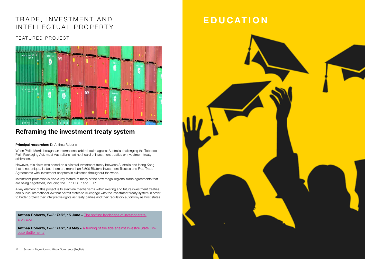### TRADE, INVESTMENT AND INTELLECTUAL PROPERTY

### FEATURED PROJECT



### [Reframing the investment treaty system](http://regnet.anu.edu.au/research/research-projects/details/6452/reframing-investment-treaty-system)

#### **[Principal researcher:](http://regnet.anu.edu.au/research/research-projects/details/6452/reframing-investment-treaty-system)** Dr Anthea Roberts

[When Philip Morris brought an international arbitral claim against Australia challenging the Tobacco](http://regnet.anu.edu.au/research/research-projects/details/6452/reframing-investment-treaty-system)  [Plain Packaging Act, most Australians had not heard of investment treaties or investment treaty](http://regnet.anu.edu.au/research/research-projects/details/6452/reframing-investment-treaty-system)  [arbitration.](http://regnet.anu.edu.au/research/research-projects/details/6452/reframing-investment-treaty-system) 

[However, this claim was based on a bilateral investment treaty between Australia and Hong Kong](http://regnet.anu.edu.au/research/research-projects/details/6452/reframing-investment-treaty-system)  [that is not unique. In fact, there are more than 3,500 Bilateral Investment Treaties and Free Trade](http://regnet.anu.edu.au/research/research-projects/details/6452/reframing-investment-treaty-system)  [Agreements with investment chapters in existence throughout the world.](http://regnet.anu.edu.au/research/research-projects/details/6452/reframing-investment-treaty-system) 

[Investment protection is also a key feature of many of the new mega-regional trade agreements that](http://regnet.anu.edu.au/research/research-projects/details/6452/reframing-investment-treaty-system)  [are being negotiated, including the TPP, RCEP and TTIP.](http://regnet.anu.edu.au/research/research-projects/details/6452/reframing-investment-treaty-system) 

[A key element of this project is to examine mechanisms within existing and future investment treaties](http://regnet.anu.edu.au/research/research-projects/details/6452/reframing-investment-treaty-system)  [and public international law that permit states to re-engage with the investment treaty system in order](http://regnet.anu.edu.au/research/research-projects/details/6452/reframing-investment-treaty-system)  [to better protect their interpretive rights as treaty parties and their regulatory autonomy as host states.](http://regnet.anu.edu.au/research/research-projects/details/6452/reframing-investment-treaty-system)

Anthea Roberts, **EJIL: Talk!, 15 June** – The shifting landscape of investor-state [arbitration](https://www.ejiltalk.org/the-shifting-landscape-of-investor-state-arbitration-loyalists-reformists-revolutionaries-and-undecideds/)

Anthea Roberts, **EJIL: Talk!, 19 May** - [A turning of the tide against Investor-State Dis](http://regnet.anu.edu.au/news-events/news/6809/turning-tide-against-investor-state-dispute-settlement)[pute Settlement?](http://regnet.anu.edu.au/news-events/news/6809/turning-tide-against-investor-state-dispute-settlement)

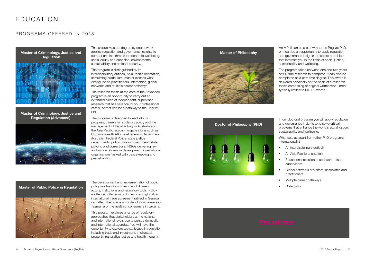### EDUCATION

### PROGRAMS OFFERED IN 2018



[Master of Criminology, Justice and](http://regnet.anu.edu.au/study/master-criminology-justice-regulation-advanced)  [Regulation \(Advanced\)](http://regnet.anu.edu.au/study/master-criminology-justice-regulation-advanced)



This unique Masters degree by coursework applies regulation and governance insights to combat criminal threats to economic well-being, social equity and cohesion, environmental sustainability and national security.

The program is distinguished by its interdisciplinary outlook, Asia Pacific orientation, stimulating curriculum, master classes with distinguished practitioners, internships, global networks and multiple career pathways.

The research thesis at the core of the Advanced program is an opportunity to carry out an extended piece of independent, supervised research that has salience for your professional career, or that can be a pathway to the RegNet PhD.

The program is designed to lead into, or progress, careers in regulatory policy and the management of illegal activity in Australia and the Asia Pacific region in organisations such as: Commonwealth Attorney-General's Department; Australian Federal Police; state justice departments; policy units in government; state policing and corrections; NGOs delivering law and justice reforms in development; international organisations tasked with peacekeeping and peacebuilding.

The development and implementation of public policy involves a complex mix of different actors, institutions and regulatory tools. Policy is often simultaneously domestic and global; an international trade agreement ratified in Geneva can affect the business model of local farmers in Tasmania or the health of consumers in Jakarta.

This program explores a range of regulatory approaches that stakeholders at the national and international levels use to pursue domestic and international agendas. You will have the opportunity to explore topical issues in regulation including trade and investment, intellectual property, restorative justice and health inequity.

#### [Master of Philosophy](http://regnet.anu.edu.au/study/master-philosophy)



An MPhil can be a pathway to the RegNet PhD, or it can be an opportunity to apply regulation and governance insights to explore a problem that interests you in the fields of social justice, sustainability and wellbeing.

The program takes between one and two years of full-time research to complete. It can also be completed as a part-time degree. This award is delivered principally on the basis of a research thesis comprising of original written work, most typically limited to 60,000 words.



In our doctoral program you will apply regulation and governance insights to to solve critical problems that enhance the world's social justice, sustainability and wellbeing.

What sets us apart from other PhD programs internationally?

- An interdisciplinary outlook
- An Asia Pacific orientation
- Educational excellence and world-class supervisors
- Global networks of visitors, associates and practitioners
- Multiple career pathways
- **Collegiality**

### [Master of Public Policy in Regulation](http://regnet.anu.edu.au/study/master-public-policy-regulation)

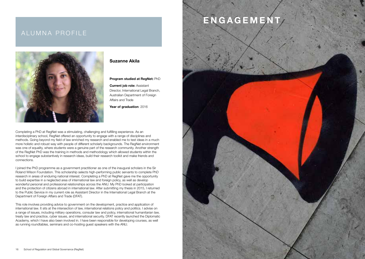### ALUMNA PROFILE

T



### Suzanne Akila

#### Program studied at RegNet: PhD

Current job role: Assistant Director, International Legal Branch, Australian Department of Foreign Affairs and Trade

Year of graduation: 2016

Completing a PhD at RegNet was a stimulating, challenging and fulfilling experience. As an interdisciplinary school, RegNet offered an opportunity to engage with a range of disciplines and methods. Going beyond my field of law enriched my research and enabled me to test ideas in a much more holistic and robust way with people of different scholarly backgrounds. The RegNet environment was one of equality, where students were a genuine part of the research community. Another strength of the RegNet PhD was the training in methods and methodology which allowed students within the school to engage substantively in research ideas, build their research toolkit and make friends and connections.

I joined the PhD programme as a government practitioner as one of the inaugural scholars in the Sir Roland Wilson Foundation. This scholarship selects high-performing public servants to complete PhD research in areas of enduring national interest. Completing a PhD at RegNet gave me the opportunity to build expertise in a neglected area of international law and foreign policy, as well as develop wonderful personal and professional relationships across the ANU. My PhD looked at participation and the protection of citizens abroad in international law. After submitting my thesis in 2015, I returned to the Public Service in my current role as Assistant Director in the International Legal Branch at the Department of Foreign Affairs and Trade (DFAT).

This role involves providing advice to government on the development, practice and application of international law. It sits at the intersection of law, international relations policy and politics. I advise on a range of issues, including military operations, consular law and policy, international humanitarian law, treaty law and practice, cyber issues, and international security. DFAT recently launched the Diplomatic Academy, which I have also been involved in. I have been responsible for developing courses, as well as running roundtables, seminars and co-hosting guest speakers with the ANU.

# ENGAGEMENT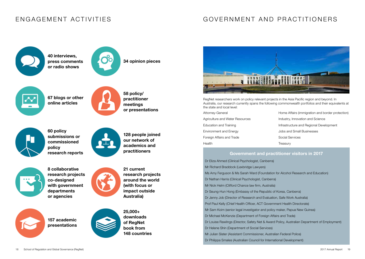### ENGAGEMENT ACTIVITIES

### GOVERNMENT AND PRACTITIONERS



40 interviews, press comments or radio shows



34 opinion pieces



67 blogs or other online articles



58 policy/ practitioner meetings or presentations



60 policy submissions or commissioned policy research reports



128 people joined our network of academics and practitioners



8 collaborative research projects co-designed with government departments or agencies

157 academic presentations





Australia)

21 current

research projects around the world (with focus or impact outside



RegNet researchers work on policy relevant projects in the Asia Pacific region and beyond. In Australia, our research currently spans the following commonwealth portfolios and their equivalents at the state and local level:

| Attorney-General                | Home Affairs (immigration and border protection) |
|---------------------------------|--------------------------------------------------|
| Agriculture and Water Resources | Industry, Innovation and Science                 |
| Education and Training          | Infrastructure and Regional Development          |
| Environment and Energy          | Jobs and Small Businesses                        |
| Foreign Affairs and Trade       | Social Services                                  |
| Health                          | Treasury                                         |

### Government and practitioner visitors in 2017

 Dr Eliza Ahmed (Clinical Psychologist, Canberra) Mr Richard Braddock (Lexbridge Lawyers) Ms Amy Ferguson & Ms Sarah Ward (Foundation for Alcohol Research and Education) Dr Nathan Harris (Clinical Psychologist, Canberra) Mr Nick Helm (Clifford Chance law firm, Australia) Dr Seung-Hun Hong (Embassy of the Republic of Korea, Canberra) Dr Jenny Job (Director of Research and Evaluation, Safe Work Australia) Prof Paul Kelly (Chief Health Officer, ACT Government Health Directorate) Mr Sam Koim (senior legal investigator and policy maker, Papua New Guinea) Dr Michael McKenzie (Department of Foreign Affairs and Trade) Dr Louise Rawlings (Director, Safety Net & Award Policy, Australian Department of Employment) Dr Helene Shin (Department of Social Services) Mr Julian Slater (Assistant Commissioner, Australian Federal Police) Dr Philippa Smales (Australian Council for International Development)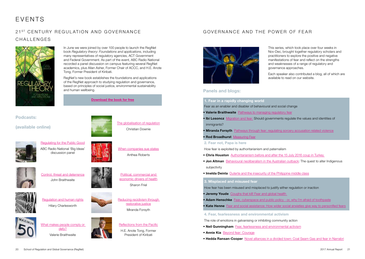## EVENTS

### 21<sup>ST</sup> CENTURY REGULATION AND GOVERNANCE CHALLENGES



In June we were joined by over 100 people to launch the RegNet book *Regulatory theory: Foundations and applications*, including many representatives of regulatory agencies, ACT Government and Federal Government. As part of the event, ABC Radio National recorded a panel discussion on campus featuring several RegNet academics, plus Allan Asher, Former Chair of ACCC, and H.E. Anote Tong, Former President of Kiribati.

RegNet's new book establishes the foundations and applications of the RegNet approach to studying regulation and governance, based on principles of social justice, environmental sustainability and human wellbeing.

[Download the book for free](https://press.anu.edu.au/publications/regulatory-theory/download)

### Podcasts:

(available online)



[Regulating for the Public Good](http://regnet.anu.edu.au/news-events/podcasts/audio/6842/regulating-public-good-abc-radio-national-big-ideas-episode-recorded) ABC Radio National 'Big Ideas' discussion panel



[When companies sue states](http://regnet.anu.edu.au/news-events/podcasts/audio/6817/when-companies-sue-states-reforming-international-investment-treaty) Anthea Roberts

[The globalisation of regulation](http://regnet.anu.edu.au/news-events/podcasts/audio/6816/globalisation-regulation-christian-downie) Christian Downie



[Control, threat and deterrence](http://regnet.anu.edu.au/news-events/podcasts/audio/6804/control-threat-and-deterrence-john-braithwaite) John Braithwaite



[Regulation and human rights](http://regnet.anu.edu.au/news-events/podcasts/audio/6814/how-can-regulatory-theory-strengthen-international-human-rights-law) Hilary Charlesworth







[Reflections from the Pacific](http://regnet.anu.edu.au/news-events/podcasts/audio/6820/reflections-pacific-he-anote-tong-former-president-kiribati)

[Reducing recidivism through](http://regnet.anu.edu.au/news-events/podcasts/audio/6815/reducing-recidivism-through-restorative-justice-miranda-forsyth)  [restorative justice](http://regnet.anu.edu.au/news-events/podcasts/audio/6815/reducing-recidivism-through-restorative-justice-miranda-forsyth) Miranda Forsyth

[Political, commercial and](http://regnet.anu.edu.au/news-events/podcasts/audio/6819/political-commercial-and-economic-drivers-health-sharon-friel)  [economic drivers of health](http://regnet.anu.edu.au/news-events/podcasts/audio/6819/political-commercial-and-economic-drivers-health-sharon-friel) Sharon Friel

H.E. Anote Tong, Former President of Kiribati

### GOVERNANCE AND THE POWER OF FEAR



This series, which took place over four weeks in Nov-Dec, brought together regulatory scholars and practitioners to explore the positive and negative manifestations of fear and reflect on the strengths and weaknesses of a range of regulatory and governance approaches.

Each speaker also contributed a blog, all of which are available to read on our website.

### Panels and blogs:

#### 1. Fear in a rapidly changing world

Fear as an enabler and disabler of behavioural and social change

- **Valerie Braithwaite** [Pathways to managing regulatory fear](http://regnet.anu.edu.au/news-events/news/7015/pathways-managing-regulatory-fear)
- **Ibi Losoncz** [Migration and fear:](http://regnet.anu.edu.au/news-events/news/7006/migration-and-fear-should-governments-regulate-values-and-identities) Should governments regulate the values and identities of immigrants?
- Miranda Forsyth [Pathways through fear: regulating sorcery accusation related violence](http://regnet.anu.edu.au/news-events/news/6996/pathways-through-fear-regulating-sorcery-accusation-related-violence)

• Rod Broadhurst [Measuring Fear](http://regnet.anu.edu.au/news-events/news/7021/measuring-fear)

#### 2. Fear not, Papa is here

How fear is exploited by authoritarianism and paternalism

- Chris Houston Authoritarianism before and after the 15 July 2016 coup in Turkey
- **Jon Altman** [Behavioural neoliberalism in the Australian outback:](http://regnet.anu.edu.au/news-events/news/7025/behavioural-neoliberalism-australian-outback-quest-alter-indigenous) The quest to alter Indigenous subjectivity
- Imelda Deinla [Duterte and the insecurity of the Philippine middle class](http://regnet.anu.edu.au/news-events/news/7036/duterte-and-insecurity-philippine-middle-class)

#### 3. Misplaced and misused fear

How fear has been misused and misplaced to justify either regulation or inaction

• Jeremy Youde Coughs that kill! Fear and global health

• Adam Henschke [Fear, cyberspace and public policy - or, why I'm afraid of toothpaste](http://regnet.anu.edu.au/news-events/news/7037/fear-cyberspace-and-public-policy-–-or-why-i’m-afraid-toothpaste)

- Kate Henne [Fear and social assistance: How wider social anxieties give way to personified fears](http://regnet.anu.edu.au/news-events/news/7043/fear-and-social-assistance-how-wider-social-anxieties-give-way-personified)
- 4. Fear, fearlessness and environmental activism

The role of emotions in galvanising or inhibiting community action

- Neil Gunningham [Fear, fearlessness and environmental activism](http://regnet.anu.edu.au/news-events/news/7042/fear-fearlessness-and-environmental-activism)
- Annie Kia [Beyond fear: Courage](http://regnet.anu.edu.au/news-events/news/7044/beyond-fear-courage)
- Hedda Ransan-Cooper [Novel alliances in a divided town: Coal Seam Gas and fear in Narrabri](http://regnet.anu.edu.au/news-events/news/7045/novel-alliances-divided-town-coal-seam-gas-and-fear-narrabri)